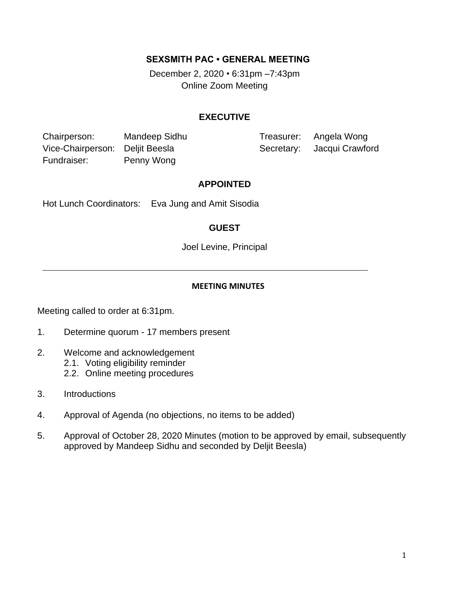## **SEXSMITH PAC • GENERAL MEETING**

December 2, 2020 *•* 6:31pm –7:43pm Online Zoom Meeting

#### **EXECUTIVE**

Chairperson: Mandeep Sidhu Treasurer: Angela Wong Vice-Chairperson: Deljit Beesla Secretary: Jacqui Crawford Fundraiser: Penny Wong

#### **APPOINTED**

Hot Lunch Coordinators: Eva Jung and Amit Sisodia

## **GUEST**

Joel Levine, Principal

#### **MEETING MINUTES**

Meeting called to order at 6:31pm.

- 1. Determine quorum 17 members present
- 2. Welcome and acknowledgement
	- 2.1. Voting eligibility reminder
	- 2.2. Online meeting procedures
- 3. Introductions
- 4. Approval of Agenda (no objections, no items to be added)
- 5. Approval of October 28, 2020 Minutes (motion to be approved by email, subsequently approved by Mandeep Sidhu and seconded by Deljit Beesla)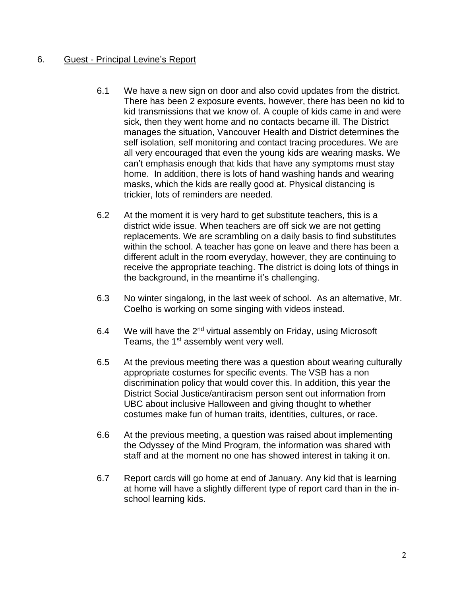# 6. Guest - Principal Levine's Report

- 6.1 We have a new sign on door and also covid updates from the district. There has been 2 exposure events, however, there has been no kid to kid transmissions that we know of. A couple of kids came in and were sick, then they went home and no contacts became ill. The District manages the situation, Vancouver Health and District determines the self isolation, self monitoring and contact tracing procedures. We are all very encouraged that even the young kids are wearing masks. We can't emphasis enough that kids that have any symptoms must stay home. In addition, there is lots of hand washing hands and wearing masks, which the kids are really good at. Physical distancing is trickier, lots of reminders are needed.
- 6.2 At the moment it is very hard to get substitute teachers, this is a district wide issue. When teachers are off sick we are not getting replacements. We are scrambling on a daily basis to find substitutes within the school. A teacher has gone on leave and there has been a different adult in the room everyday, however, they are continuing to receive the appropriate teaching. The district is doing lots of things in the background, in the meantime it's challenging.
- 6.3 No winter singalong, in the last week of school. As an alternative, Mr. Coelho is working on some singing with videos instead.
- 6.4 We will have the  $2^{nd}$  virtual assembly on Friday, using Microsoft Teams, the 1<sup>st</sup> assembly went very well.
- 6.5 At the previous meeting there was a question about wearing culturally appropriate costumes for specific events. The VSB has a non discrimination policy that would cover this. In addition, this year the District Social Justice/antiracism person sent out information from UBC about inclusive Halloween and giving thought to whether costumes make fun of human traits, identities, cultures, or race.
- 6.6 At the previous meeting, a question was raised about implementing the Odyssey of the Mind Program, the information was shared with staff and at the moment no one has showed interest in taking it on.
- 6.7 Report cards will go home at end of January. Any kid that is learning at home will have a slightly different type of report card than in the inschool learning kids.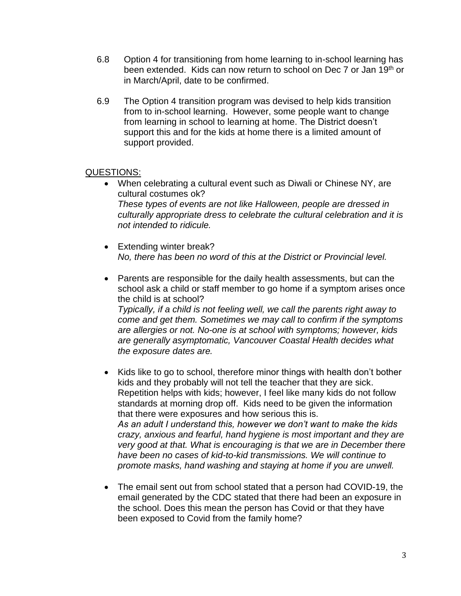- 6.8 Option 4 for transitioning from home learning to in-school learning has been extended. Kids can now return to school on Dec 7 or Jan 19th or in March/April, date to be confirmed.
- 6.9 The Option 4 transition program was devised to help kids transition from to in-school learning. However, some people want to change from learning in school to learning at home. The District doesn't support this and for the kids at home there is a limited amount of support provided.

#### QUESTIONS:

- When celebrating a cultural event such as Diwali or Chinese NY, are cultural costumes ok? *These types of events are not like Halloween, people are dressed in culturally appropriate dress to celebrate the cultural celebration and it is not intended to ridicule.*
- Extending winter break? *No, there has been no word of this at the District or Provincial level.*
- Parents are responsible for the daily health assessments, but can the school ask a child or staff member to go home if a symptom arises once the child is at school? *Typically, if a child is not feeling well, we call the parents right away to come and get them. Sometimes we may call to confirm if the symptoms are allergies or not. No-one is at school with symptoms; however, kids are generally asymptomatic, Vancouver Coastal Health decides what the exposure dates are.*
- Kids like to go to school, therefore minor things with health don't bother kids and they probably will not tell the teacher that they are sick. Repetition helps with kids; however, I feel like many kids do not follow standards at morning drop off. Kids need to be given the information that there were exposures and how serious this is. *As an adult I understand this, however we don't want to make the kids crazy, anxious and fearful, hand hygiene is most important and they are very good at that. What is encouraging is that we are in December there have been no cases of kid-to-kid transmissions. We will continue to promote masks, hand washing and staying at home if you are unwell.*
- The email sent out from school stated that a person had COVID-19, the email generated by the CDC stated that there had been an exposure in the school. Does this mean the person has Covid or that they have been exposed to Covid from the family home?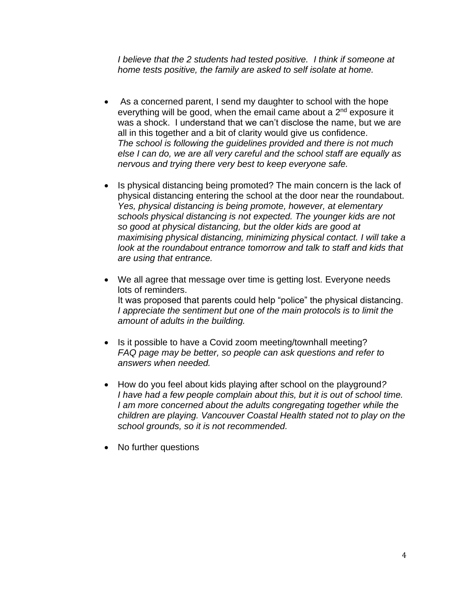*I believe that the 2 students had tested positive. I think if someone at home tests positive, the family are asked to self isolate at home.*

- As a concerned parent, I send my daughter to school with the hope everything will be good, when the email came about a 2<sup>nd</sup> exposure it was a shock. I understand that we can't disclose the name, but we are all in this together and a bit of clarity would give us confidence. *The school is following the guidelines provided and there is not much else I can do, we are all very careful and the school staff are equally as nervous and trying there very best to keep everyone safe.*
- Is physical distancing being promoted? The main concern is the lack of physical distancing entering the school at the door near the roundabout. *Yes, physical distancing is being promote, however, at elementary schools physical distancing is not expected. The younger kids are not so good at physical distancing, but the older kids are good at maximising physical distancing, minimizing physical contact. I will take a look at the roundabout entrance tomorrow and talk to staff and kids that are using that entrance.*
- We all agree that message over time is getting lost. Everyone needs lots of reminders. It was proposed that parents could help "police" the physical distancing. *I appreciate the sentiment but one of the main protocols is to limit the amount of adults in the building.*
- Is it possible to have a Covid zoom meeting/townhall meeting? *FAQ page may be better, so people can ask questions and refer to answers when needed.*
- How do you feel about kids playing after school on the playground*? I have had a few people complain about this, but it is out of school time. I am more concerned about the adults congregating together while the children are playing. Vancouver Coastal Health stated not to play on the school grounds, so it is not recommended.*
- No further questions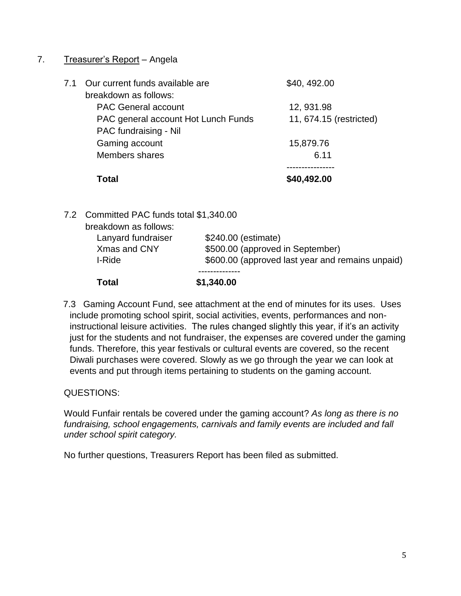# 7. Treasurer's Report – Angela

|     | Total                               | \$40,492.00             |
|-----|-------------------------------------|-------------------------|
|     | <b>Members shares</b>               | 6.11                    |
|     | Gaming account                      | 15,879.76               |
|     | PAC fundraising - Nil               |                         |
|     | PAC general account Hot Lunch Funds | 11, 674.15 (restricted) |
|     | <b>PAC General account</b>          | 12, 931.98              |
|     | breakdown as follows:               |                         |
| 7.1 | Our current funds available are     | \$40, 492.00            |

7.2 Committed PAC funds total \$1,340.00 breakdown as follows: Lanyard fundraiser \$240.00 (estimate) Xmas and CNY \$500.00 (approved in September) I-Ride  $$600.00$  (approved last year and remains unpaid) -------------- **Total \$1,340.00**

 7.3 Gaming Account Fund, see attachment at the end of minutes for its uses. Uses include promoting school spirit, social activities, events, performances and noninstructional leisure activities. The rules changed slightly this year, if it's an activity just for the students and not fundraiser, the expenses are covered under the gaming funds. Therefore, this year festivals or cultural events are covered, so the recent Diwali purchases were covered. Slowly as we go through the year we can look at events and put through items pertaining to students on the gaming account.

QUESTIONS:

Would Funfair rentals be covered under the gaming account? *As long as there is no fundraising, school engagements, carnivals and family events are included and fall under school spirit category.*

No further questions, Treasurers Report has been filed as submitted.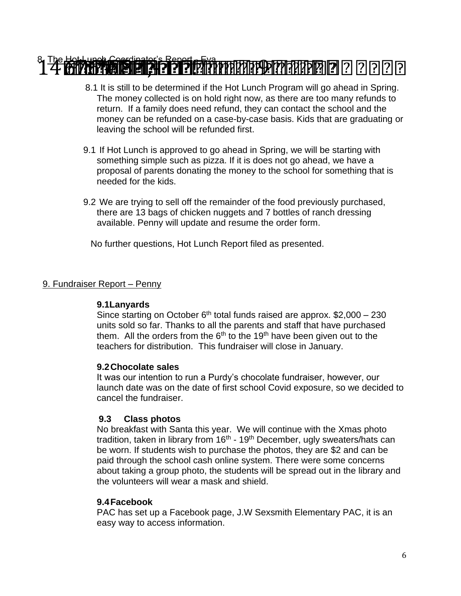# $3\frac{1}{2}$  com Hot Luis - Eva 146  $\frac{1}{2}$  . The Hot Lunch Coordinator -  $2$  22  $2$  23  $\frac{1}{2}$  ,  $\frac{1}{2}$  .  $\frac{1}{2}$  is the Hot Lunch Coordinator -  $2$  22  $\frac{1}{2}$  .

- 8.1 It is still to be determined if the Hot Lunch Program will go ahead in Spring. The money collected is on hold right now, as there are too many refunds to return. If a family does need refund, they can contact the school and the money can be refunded on a case-by-case basis. Kids that are graduating or leaving the school will be refunded first.
- 9.1 If Hot Lunch is approved to go ahead in Spring, we will be starting with something simple such as pizza. If it is does not go ahead, we have a proposal of parents donating the money to the school for something that is needed for the kids.
- 9.2 We are trying to sell off the remainder of the food previously purchased, there are 13 bags of chicken nuggets and 7 bottles of ranch dressing available. Penny will update and resume the order form.

No further questions, Hot Lunch Report filed as presented.

# 9. Fundraiser Report – Penny

#### **9.1Lanyards**

Since starting on October  $6<sup>th</sup>$  total funds raised are approx. \$2,000 – 230 units sold so far. Thanks to all the parents and staff that have purchased them. All the orders from the  $6<sup>th</sup>$  to the 19<sup>th</sup> have been given out to the teachers for distribution. This fundraiser will close in January.

#### **9.2Chocolate sales**

It was our intention to run a Purdy's chocolate fundraiser, however, our launch date was on the date of first school Covid exposure, so we decided to cancel the fundraiser.

# **9.3 Class photos**

No breakfast with Santa this year. We will continue with the Xmas photo tradition, taken in library from 16<sup>th</sup> - 19<sup>th</sup> December, ugly sweaters/hats can be worn. If students wish to purchase the photos, they are \$2 and can be paid through the school cash online system. There were some concerns about taking a group photo, the students will be spread out in the library and the volunteers will wear a mask and shield.

# **9.4Facebook**

PAC has set up a Facebook page, J.W Sexsmith Elementary PAC, it is an easy way to access information.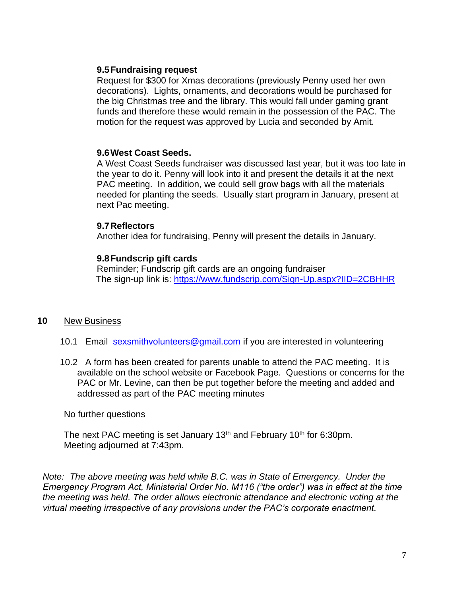#### **9.5Fundraising request**

Request for \$300 for Xmas decorations (previously Penny used her own decorations). Lights, ornaments, and decorations would be purchased for the big Christmas tree and the library. This would fall under gaming grant funds and therefore these would remain in the possession of the PAC. The motion for the request was approved by Lucia and seconded by Amit.

#### **9.6West Coast Seeds.**

A West Coast Seeds fundraiser was discussed last year, but it was too late in the year to do it. Penny will look into it and present the details it at the next PAC meeting. In addition, we could sell grow bags with all the materials needed for planting the seeds. Usually start program in January, present at next Pac meeting.

#### **9.7Reflectors**

Another idea for fundraising, Penny will present the details in January.

#### **9.8Fundscrip gift cards**

Reminder; Fundscrip gift cards are an ongoing fundraiser The sign-up link is:<https://www.fundscrip.com/Sign-Up.aspx?IID=2CBHHR>

#### **10** New Business

- 10.1 Email [sexsmithvolunteers@gmail.com](mailto:sexsmithvolunteers@gmail.com) if you are interested in volunteering
- 10.2 A form has been created for parents unable to attend the PAC meeting. It is available on the school website or Facebook Page. Questions or concerns for the PAC or Mr. Levine, can then be put together before the meeting and added and addressed as part of the PAC meeting minutes

No further questions

The next PAC meeting is set January  $13<sup>th</sup>$  and February  $10<sup>th</sup>$  for 6:30pm. Meeting adjourned at 7:43pm.

*Note: The above meeting was held while B.C. was in State of Emergency. Under the Emergency Program Act, Ministerial Order No. M116 ("the order") was in effect at the time the meeting was held. The order allows electronic attendance and electronic voting at the virtual meeting irrespective of any provisions under the PAC's corporate enactment.*